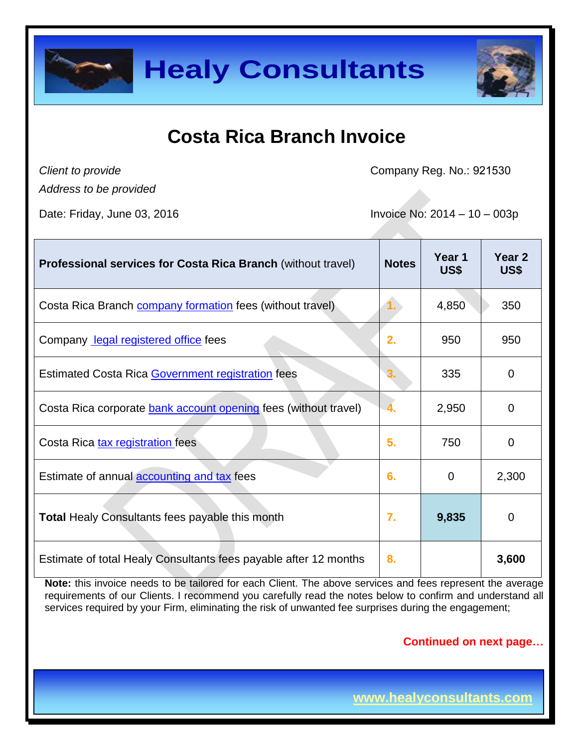

### **Costa Rica Branch Invoice**

*Client to provide*

Company Reg. No.: 921530

*Address to be provided*

Date: Friday, June 03, 2016 **Invoice No: 2014 – 10 – 003p** 

| <b>Professional services for Costa Rica Branch (without travel)</b> | <b>Notes</b> | Year 1<br>US\$ | Year <sub>2</sub><br>US\$ |
|---------------------------------------------------------------------|--------------|----------------|---------------------------|
| Costa Rica Branch <b>company formation</b> fees (without travel)    |              | 4,850          | 350                       |
| Company legal registered office fees                                | 2.           | 950            | 950                       |
| <b>Estimated Costa Rica Government registration fees</b>            | 3.           | 335            | $\overline{0}$            |
| Costa Rica corporate bank account opening fees (without travel)     |              | 2,950          | 0                         |
| Costa Rica tax registration fees                                    | 5.           | 750            | 0                         |
| Estimate of annual <b>accounting and tax</b> fees                   | 6.           | $\Omega$       | 2,300                     |
| <b>Total Healy Consultants fees payable this month</b>              | 7.           | 9,835          | $\overline{0}$            |
| Estimate of total Healy Consultants fees payable after 12 months    | 8.           |                | 3,600                     |

Note: this invoice needs to be tailored for each Client. The above services and fees represent the average requirements of our Clients. I recommend you carefully read the notes below to confirm and understand all services required by your Firm, eliminating the risk of unwanted fee surprises during the engagement;

**Continued on next page…**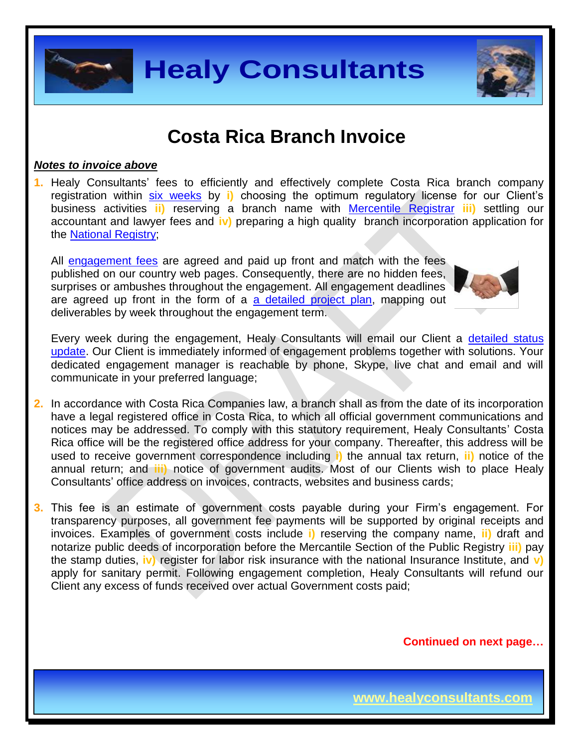

#### **Costa Rica Branch Invoice**

#### *Notes to invoice above*

**1.** Healy Consultants' fees to efficiently and effectively complete Costa Rica branch company registration within six [weeks](http://www.healyconsultants.com/costa-rica-company-registration/fees-timelines/#timelines) by **i)** choosing the optimum regulatory license for our Client's business activities **ii)** reserving a branch name with [Mercentile Registrar](http://www.crearempresa.go.cr/) **iii)** settling our accountant and lawyer fees and **iv)** preparing a high quality branch incorporation application for the [National Registry;](http://www.registronacional.go.cr/)

All [engagement fees](http://www.healyconsultants.com/company-registration-fees/) are agreed and paid up front and match with the fees published on our country web pages. Consequently, there are no hidden fees, surprises or ambushes throughout the engagement. All engagement deadlines are agreed up front in the form of a [a detailed project plan,](http://www.healyconsultants.com/index-important-links/example-project-plan/) mapping out deliverables by week throughout the engagement term.



Every week during the engagement, Healy Consultants will email our Client a detailed status [update.](http://www.healyconsultants.com/index-important-links/weekly-engagement-status-email/) Our Client is immediately informed of engagement problems together with solutions. Your dedicated engagement manager is reachable by phone, Skype, live chat and email and will communicate in your preferred language;

- **2.** In accordance with Costa Rica Companies law, a branch shall as from the date of its incorporation have a legal registered office in Costa Rica, to which all official government communications and notices may be addressed. To comply with this statutory requirement, Healy Consultants' Costa Rica office will be the registered office address for your company. Thereafter, this address will be used to receive government correspondence including **i)** the annual tax return, **ii)** notice of the annual return; and **iii)** notice of government audits. Most of our Clients wish to place Healy Consultants' office address on invoices, contracts, websites and business cards;
- **3.** This fee is an estimate of government costs payable during your Firm's engagement. For transparency purposes, all government fee payments will be supported by original receipts and invoices. Examples of government costs include **i)** reserving the company name, **ii)** draft and notarize public deeds of incorporation before the Mercantile Section of the Public Registry **iii)** pay the stamp duties, **iv)** register for labor risk insurance with the national Insurance Institute, and **v)**  apply for sanitary permit. Following engagement completion, Healy Consultants will refund our Client any excess of funds received over actual Government costs paid;

**Continued on next page…**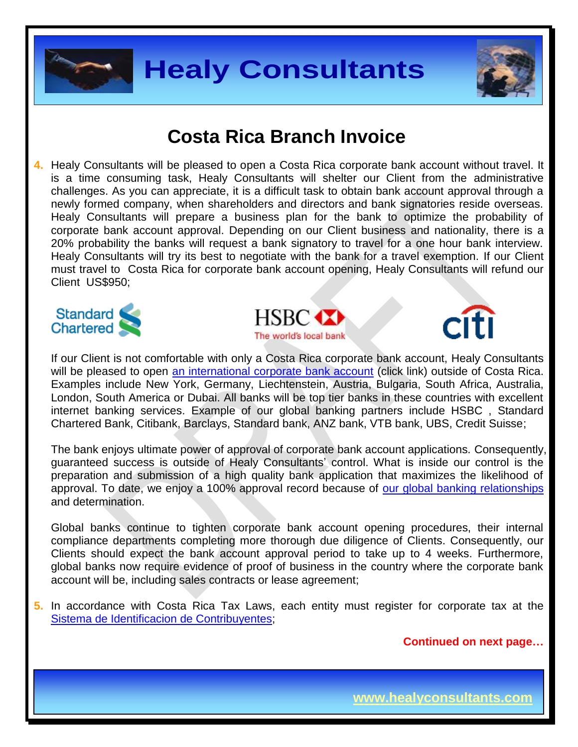



#### **Costa Rica Branch Invoice**

**4.** Healy Consultants will be pleased to open a Costa Rica corporate bank account without travel. It is a time consuming task, Healy Consultants will shelter our Client from the administrative challenges. As you can appreciate, it is a difficult task to obtain bank account approval through a newly formed company, when shareholders and directors and bank signatories reside overseas. Healy Consultants will prepare a business plan for the bank to optimize the probability of corporate bank account approval. Depending on our Client business and nationality, there is a 20% probability the banks will request a bank signatory to travel for a one hour bank interview. Healy Consultants will try its best to negotiate with the bank for a travel exemption. If our Client must travel to Costa Rica for corporate bank account opening, Healy Consultants will refund our Client US\$950;







If our Client is not comfortable with only a Costa Rica corporate bank account, Healy Consultants will be pleased to open [an international corporate bank account](http://www.healyconsultants.com/international-banking/) (click link) outside of Costa Rica. Examples include New York, Germany, Liechtenstein, Austria, Bulgaria, South Africa, Australia, London, South America or Dubai. All banks will be top tier banks in these countries with excellent internet banking services. Example of our global banking partners include HSBC , Standard Chartered Bank, Citibank, Barclays, Standard bank, ANZ bank, VTB bank, UBS, Credit Suisse;

The bank enjoys ultimate power of approval of corporate bank account applications. Consequently, guaranteed success is outside of Healy Consultants' control. What is inside our control is the preparation and submission of a high quality bank application that maximizes the likelihood of approval. To date, we enjoy a 100% approval record because of [our global banking relationships](http://www.healyconsultants.com/international-banking/corporate-accounts/) and determination.

Global banks continue to tighten corporate bank account opening procedures, their internal compliance departments completing more thorough due diligence of Clients. Consequently, our Clients should expect the bank account approval period to take up to 4 weeks. Furthermore, global banks now require evidence of proof of business in the country where the corporate bank account will be, including sales contracts or lease agreement;

**5.** In accordance with Costa Rica Tax Laws, each entity must register for corporate tax at the [Sistema de Identificacion de Contribuyentes;](http://dgt.hacienda.go.cr/oficina/herramientas/Paginas/SistemadeIdentificaciondeContribuyentes(SIC).aspx)

**Continued on next page…**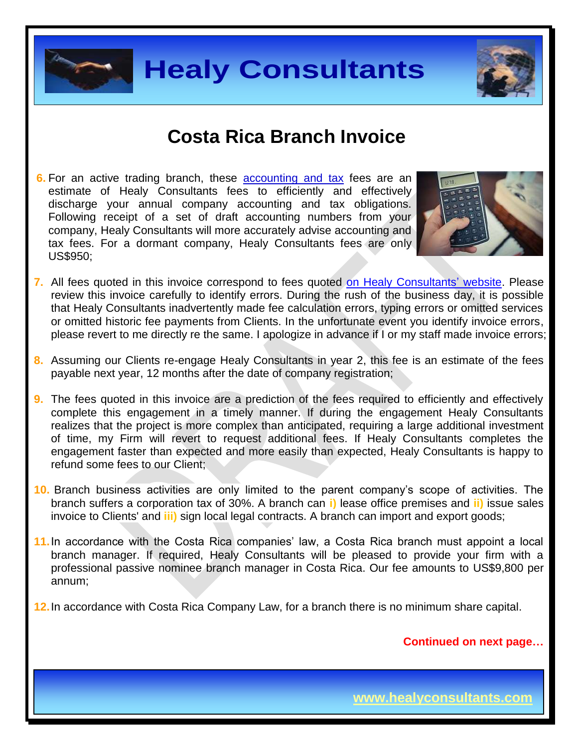



### **Costa Rica Branch Invoice**

**6.** For an active trading branch, these [accounting and tax](http://www.healyconsultants.com/costa-rica-company-registration/accounting-legal/) fees are an estimate of Healy Consultants fees to efficiently and effectively discharge your annual company accounting and tax obligations. Following receipt of a set of draft accounting numbers from your company, Healy Consultants will more accurately advise accounting and tax fees. For a dormant company, Healy Consultants fees are only US\$950;



- **7.** All fees quoted in this invoice correspond to fees quoted [on Healy Consultants' website.](http://www.healyconsultants.com/company-registration-fees/) Please review this invoice carefully to identify errors. During the rush of the business day, it is possible that Healy Consultants inadvertently made fee calculation errors, typing errors or omitted services or omitted historic fee payments from Clients. In the unfortunate event you identify invoice errors, please revert to me directly re the same. I apologize in advance if I or my staff made invoice errors;
- **8.** Assuming our Clients re-engage Healy Consultants in year 2, this fee is an estimate of the fees payable next year, 12 months after the date of company registration;
- **9.** The fees quoted in this invoice are a prediction of the fees required to efficiently and effectively complete this engagement in a timely manner. If during the engagement Healy Consultants realizes that the project is more complex than anticipated, requiring a large additional investment of time, my Firm will revert to request additional fees. If Healy Consultants completes the engagement faster than expected and more easily than expected, Healy Consultants is happy to refund some fees to our Client;
- **10.** Branch business activities are only limited to the parent company's scope of activities. The branch suffers a corporation tax of 30%. A branch can **i)** lease office premises and **ii)** issue sales invoice to Clients' and **iii)** sign local legal contracts. A branch can import and export goods;
- **11.**In accordance with the Costa Rica companies' law, a Costa Rica branch must appoint a local branch manager. If required, Healy Consultants will be pleased to provide your firm with a professional passive nominee branch manager in Costa Rica. Our fee amounts to US\$9,800 per annum;
- **12.**In accordance with Costa Rica Company Law, for a branch there is no minimum share capital.

**Continued on next page…**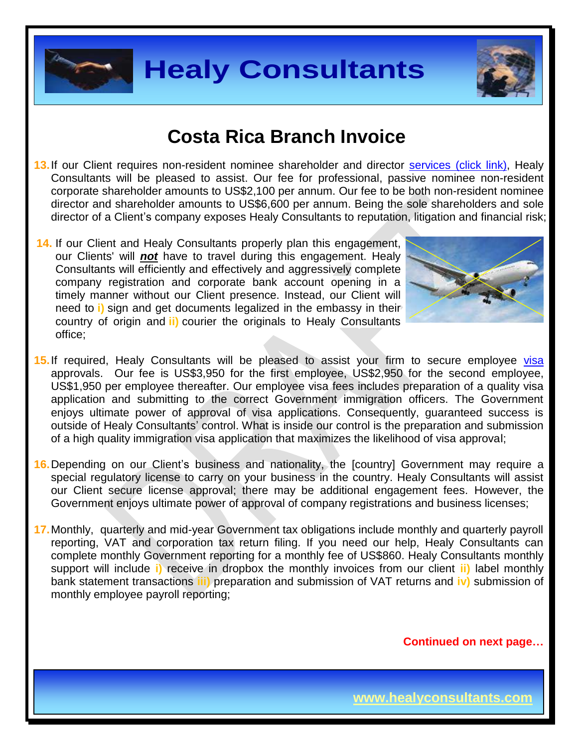



#### **Costa Rica Branch Invoice**

- 13. If our Client requires non-resident nominee shareholder and director services [\(click link\),](http://www.healyconsultants.com/corporate-outsourcing-services/nominee-shareholders-directors/) Healy Consultants will be pleased to assist. Our fee for professional, passive nominee non-resident corporate shareholder amounts to US\$2,100 per annum. Our fee to be both non-resident nominee director and shareholder amounts to US\$6,600 per annum. Being the sole shareholders and sole director of a Client's company exposes Healy Consultants to reputation, litigation and financial risk;
- **14.** If our Client and Healy Consultants properly plan this engagement, our Clients' will *not* have to travel during this engagement. Healy Consultants will efficiently and effectively and aggressively complete company registration and corporate bank account opening in a timely manner without our Client presence. Instead, our Client will need to **i)** sign and get documents legalized in the embassy in their country of origin and **ii)** courier the originals to Healy Consultants office;



- 15. If required, Healy Consultants will be pleased to assist your firm to secure employee [visa](http://www.healyconsultants.com/corporate-advisory-services/migration/) approvals. Our fee is US\$3,950 for the first employee, US\$2,950 for the second employee, US\$1,950 per employee thereafter. Our employee visa fees includes preparation of a quality visa application and submitting to the correct Government immigration officers. The Government enjoys ultimate power of approval of visa applications. Consequently, guaranteed success is outside of Healy Consultants' control. What is inside our control is the preparation and submission of a high quality immigration visa application that maximizes the likelihood of visa approval;
- **16.**Depending on our Client's business and nationality, the [country] Government may require a special regulatory license to carry on your business in the country. Healy Consultants will assist our Client secure license approval; there may be additional engagement fees. However, the Government enjoys ultimate power of approval of company registrations and business licenses;
- **17.**Monthly, quarterly and mid-year Government tax obligations include monthly and quarterly payroll reporting, VAT and corporation tax return filing. If you need our help, Healy Consultants can complete monthly Government reporting for a monthly fee of US\$860. Healy Consultants monthly support will include **i)** receive in dropbox the monthly invoices from our client **ii)** label monthly bank statement transactions **iii)** preparation and submission of VAT returns and **iv)** submission of monthly employee payroll reporting;

**Continued on next page…**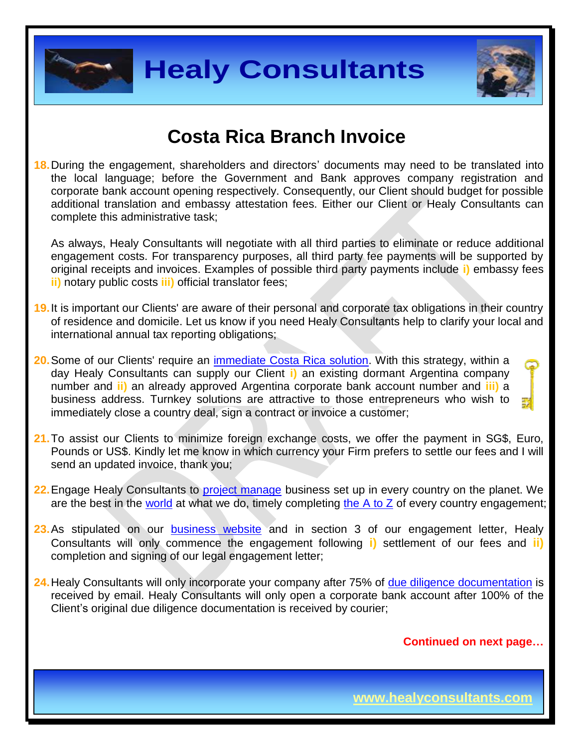



### **Costa Rica Branch Invoice**

**18.**During the engagement, shareholders and directors' documents may need to be translated into the local language; before the Government and Bank approves company registration and corporate bank account opening respectively. Consequently, our Client should budget for possible additional translation and embassy attestation fees. Either our Client or Healy Consultants can complete this administrative task;

As always, Healy Consultants will negotiate with all third parties to eliminate or reduce additional engagement costs. For transparency purposes, all third party fee payments will be supported by original receipts and invoices. Examples of possible third party payments include **i)** embassy fees **ii)** notary public costs **iii)** official translator fees;

- **19.**It is important our Clients' are aware of their personal and corporate tax obligations in their country of residence and domicile. Let us know if you need Healy Consultants help to clarify your local and international annual tax reporting obligations;
- **20.**Some of our Clients' require an [immediate Costa Rica solution.](http://www.healyconsultants.com/turnkey-solutions/) With this strategy, within a day Healy Consultants can supply our Client **i)** an existing dormant Argentina company number and **ii)** an already approved Argentina corporate bank account number and **iii)** a business address. Turnkey solutions are attractive to those entrepreneurs who wish to immediately close a country deal, sign a contract or invoice a customer;
- **21.**To assist our Clients to minimize foreign exchange costs, we offer the payment in SG\$, Euro, Pounds or US\$. Kindly let me know in which currency your Firm prefers to settle our fees and I will send an updated invoice, thank you;
- **22.**Engage Healy Consultants to [project manage](http://www.healyconsultants.com/project-manage-engagements/) business set up in every country on the planet. We are the best in the [world](http://www.healyconsultants.com/best-in-the-world/) at what we do, timely completing the  $A$  to  $Z$  of every country engagement;
- 23.As stipulated on our [business website](http://www.healyconsultants.com/) and in section 3 of our engagement letter, Healy Consultants will only commence the engagement following **i)** settlement of our fees and **ii)** completion and signing of our legal engagement letter;
- **24.**Healy Consultants will only incorporate your company after 75% of [due diligence documentation](http://www.healyconsultants.com/due-diligence/) is received by email. Healy Consultants will only open a corporate bank account after 100% of the Client's original due diligence documentation is received by courier;

**Continued on next page…**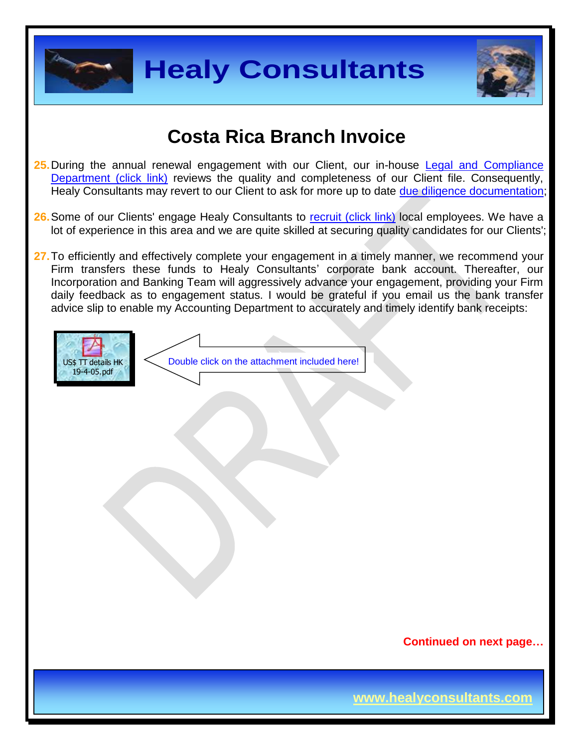



### **Costa Rica Branch Invoice**

- 25. During the annual renewal engagement with our Client, our in-house Legal and Compliance [Department \(click link\)](http://www.healyconsultants.com/about-us/key-personnel/cai-xin-profile/) reviews the quality and completeness of our Client file. Consequently, Healy Consultants may revert to our Client to ask for more up to date [due diligence documentation;](http://www.healyconsultants.com/due-diligence/)
- 26. Some of our Clients' engage Healy Consultants to [recruit \(click link\)](http://www.healyconsultants.com/corporate-outsourcing-services/how-we-help-our-clients-recruit-quality-employees/) local employees. We have a lot of experience in this area and we are quite skilled at securing quality candidates for our Clients';
- 27. To efficiently and effectively complete your engagement in a timely manner, we recommend your Firm transfers these funds to Healy Consultants' corporate bank account. Thereafter, our Incorporation and Banking Team will aggressively advance your engagement, providing your Firm daily feedback as to engagement status. I would be grateful if you email us the bank transfer advice slip to enable my Accounting Department to accurately and timely identify bank receipts:



**Continued on next page…**